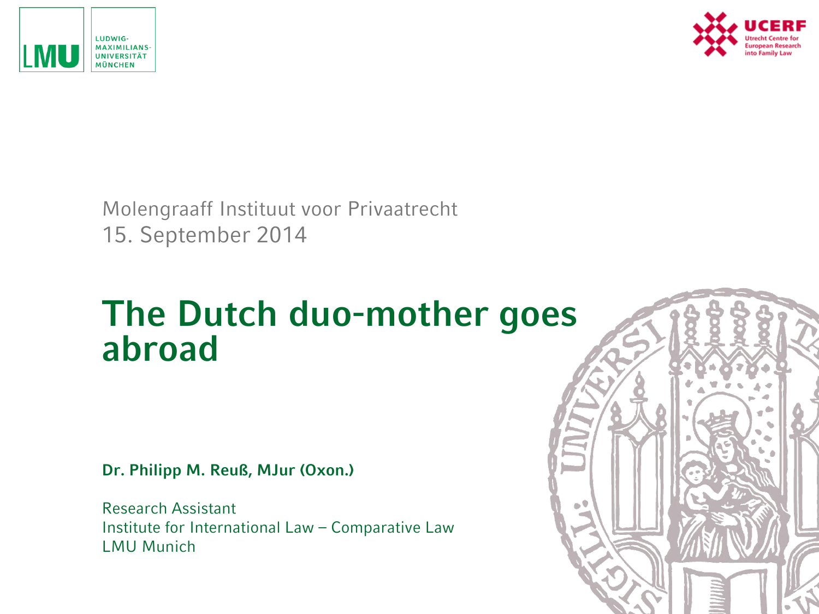



Molengraaff Instituut voor Privaatrecht 15. September 2014

### **The Dutch duo-mother goes abroad**

**Dr. Philipp M. Reuß, MJur (Oxon.)**

Research Assistant Institute for International Law – Comparative Law LMU Munich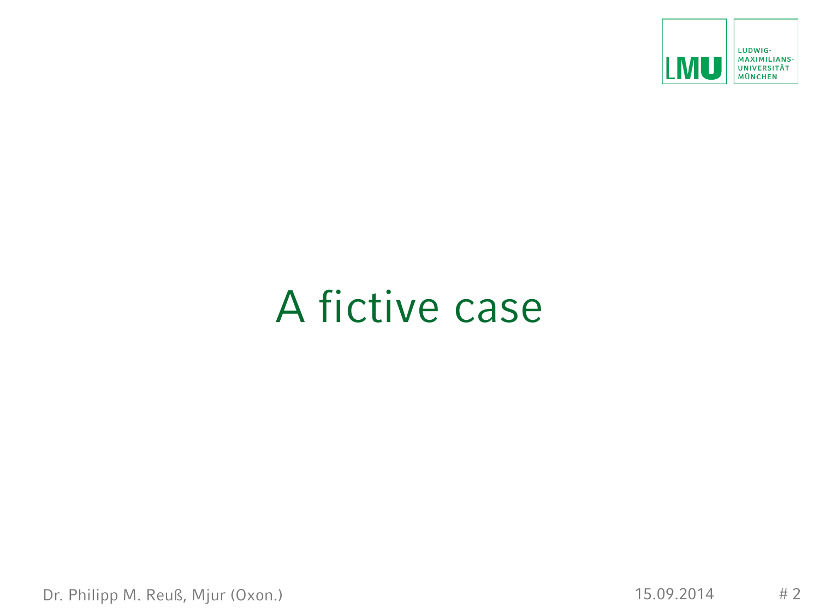

### A fictive case

Dr. Philipp M. Reuß, Mjur (Oxon.) 15.09.2014 # 2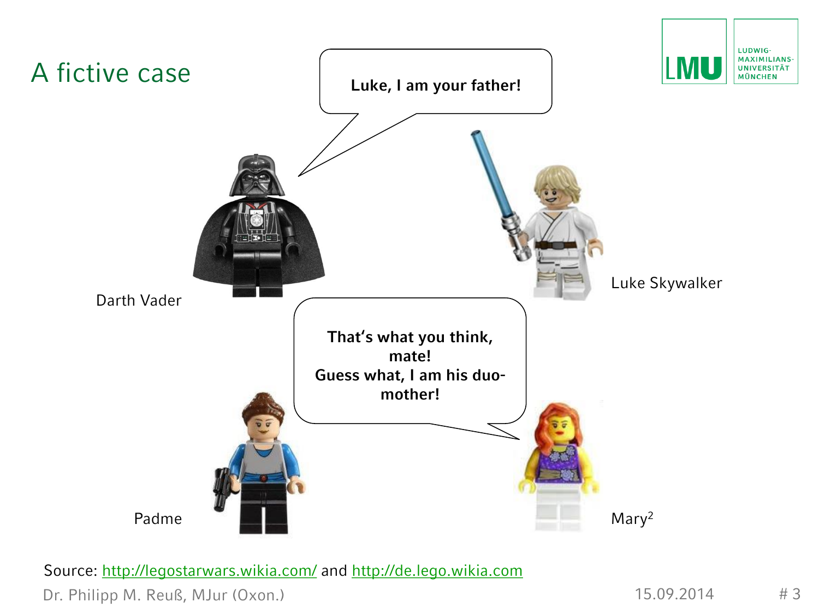

Source: <http://legostarwars.wikia.com/> and [http://de.lego.wikia.com](http://de.lego.wikia.com/)

Dr. Philipp M. Reuß, MJur (Oxon.) 15.09.2014 # 3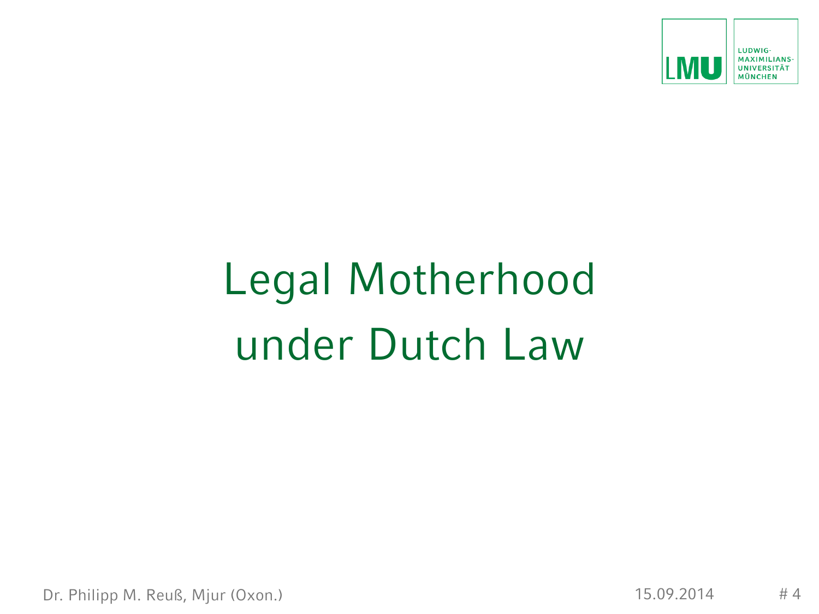

# Legal Motherhood under Dutch Law

Dr. Philipp M. Reuß, Mjur (Oxon.) 15.09.2014 # 4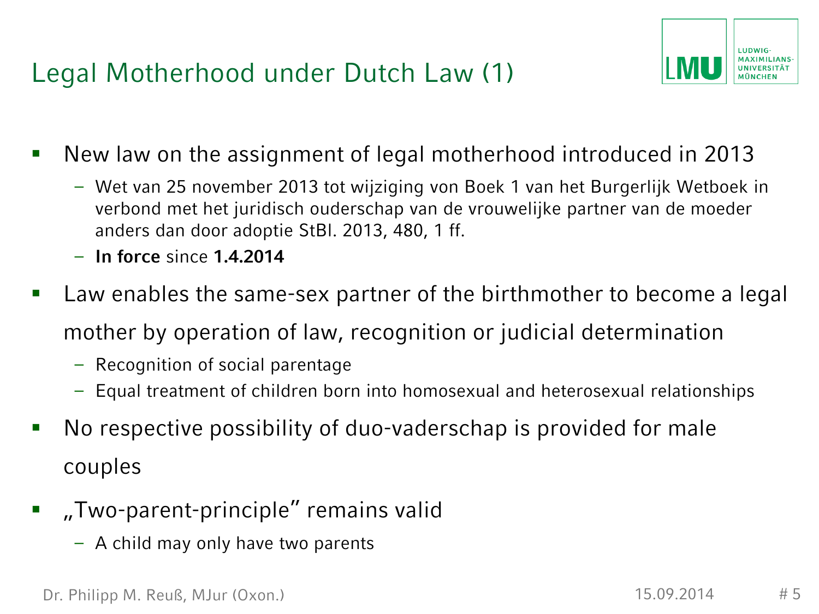Legal Motherhood under Dutch Law (1)



- New law on the assignment of legal motherhood introduced in 2013
	- Wet van 25 november 2013 tot wijziging von Boek 1 van het Burgerlijk Wetboek in verbond met het juridisch ouderschap van de vrouwelijke partner van de moeder anders dan door adoptie StBl. 2013, 480, 1 ff.
	- **In force** since **1.4.2014**
- Law enables the same-sex partner of the birthmother to become a legal mother by operation of law, recognition or judicial determination
	- Recognition of social parentage
	- Equal treatment of children born into homosexual and heterosexual relationships
- No respective possibility of duo-vaderschap is provided for male couples
- "Two-parent-principle" remains valid
	- A child may only have two parents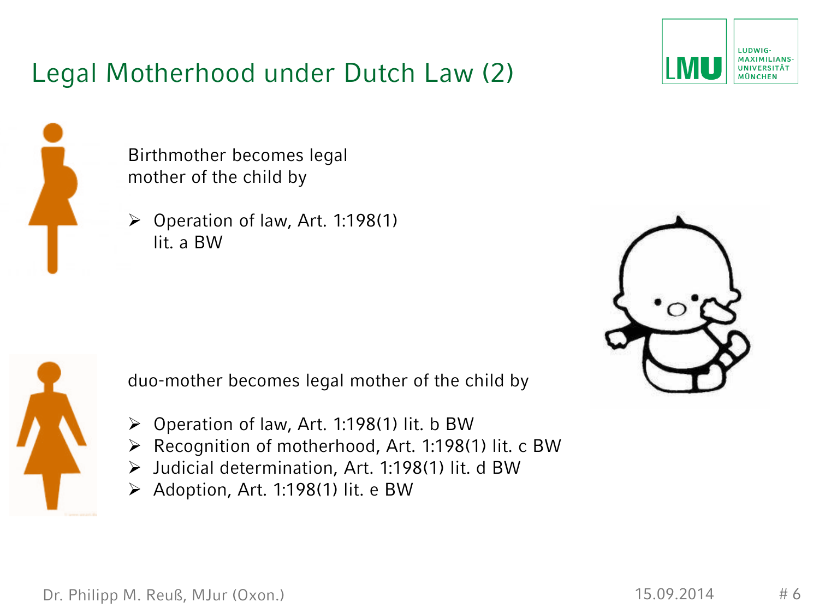#### Legal Motherhood under Dutch Law (2)





Birthmother becomes legal mother of the child by

 $\triangleright$  Operation of law, Art. 1:198(1) lit. a BW





duo-mother becomes legal mother of the child by

- $\triangleright$  Operation of law, Art. 1:198(1) lit. b BW
- Recognition of motherhood, Art. 1:198(1) lit. c BW
- $\triangleright$  Judicial determination, Art. 1:198(1) lit. d BW
- $\triangleright$  Adoption, Art. 1:198(1) lit. e BW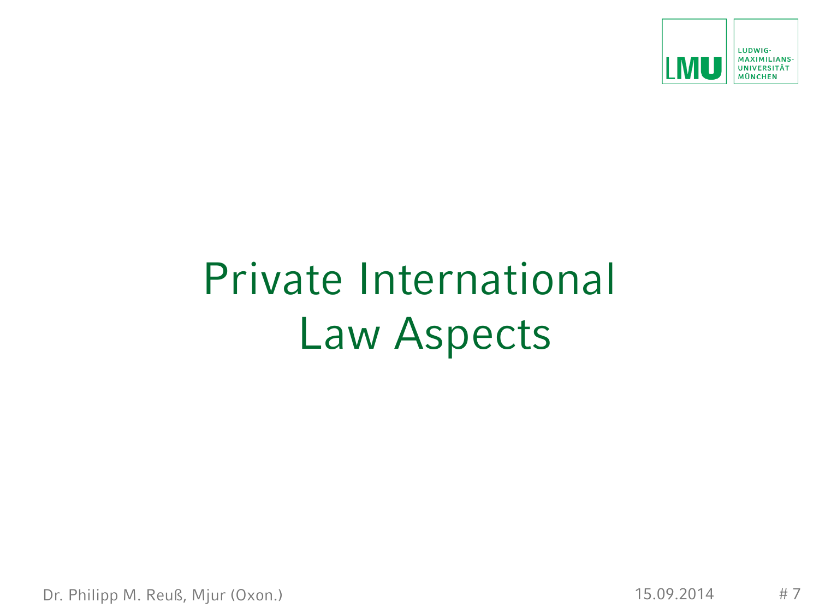

## Private International Law Aspects

Dr. Philipp M. Reuß, Mjur (Oxon.) 15.09.2014 # 7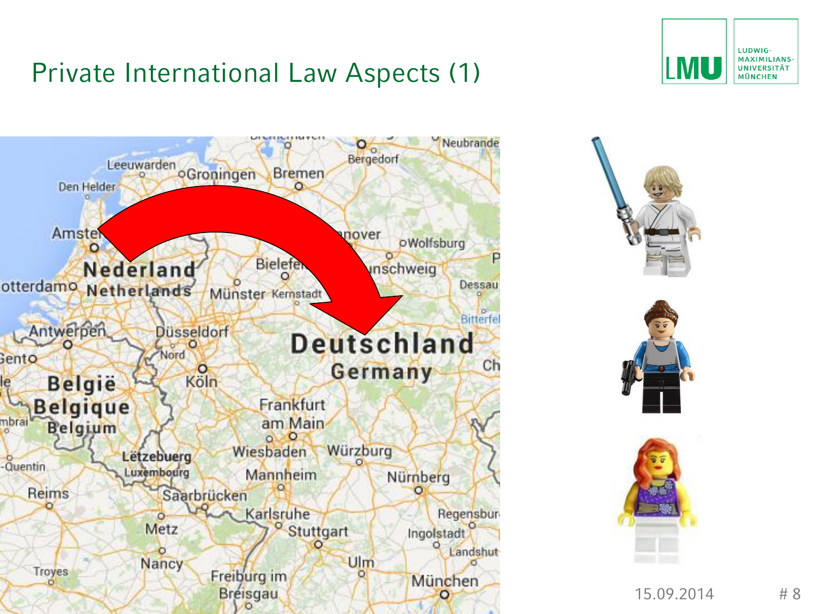#### Private International Law Aspects (1)







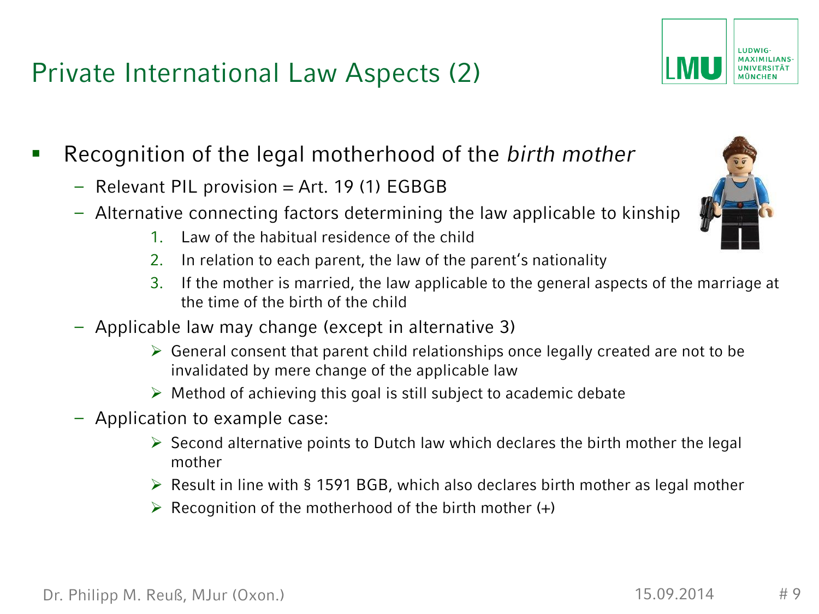Dr. Philipp M. Reuß, MJur (Oxon.) 15.09.2014 # 9

#### Private International Law Aspects (2)

- Recognition of the legal motherhood of the *birth mother*
	- $-$  Relevant PIL provision  $=$  Art. 19 (1) EGBGB
	- Alternative connecting factors determining the law applicable to kins[hip](http://img1.wikia.nocookie.net/__cb20130508042759/legostarwars/images/c/c7/Padme3.jpg)
		- 1. Law of the habitual residence of the child
		- 2. In relation to each parent, the law of the parent's nationality
		- 3. If the mother is married, the law applicable to the general aspects of the marriage at the time of the birth of the child
	- Applicable law may change (except in alternative 3)
		- $\triangleright$  General consent that parent child relationships once legally created are not to be invalidated by mere change of the applicable law
		- $\triangleright$  Method of achieving this goal is still subject to academic debate
	- Application to example case:
		- $\triangleright$  Second alternative points to Dutch law which declares the birth mother the legal mother
		- $\triangleright$  Result in line with § 1591 BGB, which also declares birth mother as legal mother
		- $\triangleright$  Recognition of the motherhood of the birth mother (+)



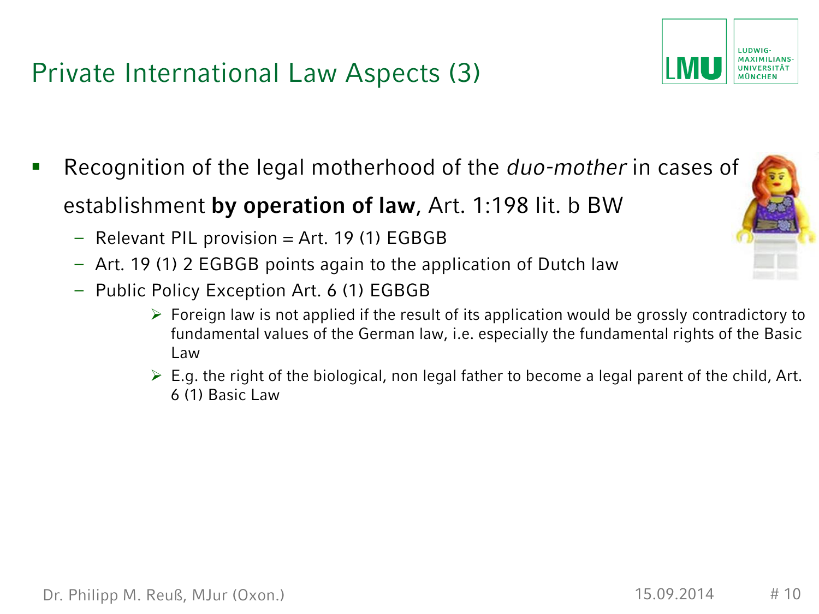#### Private International Law Aspects (3)

- Recognition of the legal motherhood of the *duo-mother* in cases of establishment **by operation of law**, Art. 1:198 lit. b BW
	- $-$  Relevant PIL provision  $=$  Art. 19 (1) EGBGB
	- Art. 19 (1) 2 EGBGB points again to the application of Dutch law
	- Public Policy Exception Art. 6 (1) EGBGB
		- $\triangleright$  Foreign law is not applied if the result of its application would be grossly contradictory to fundamental values of the German law, i.e. especially the fundamental rights of the Basic Law
		- $\triangleright$  E.g. the right of the biological, non legal father to become a legal parent of the child, Art. 6 (1) Basic Law



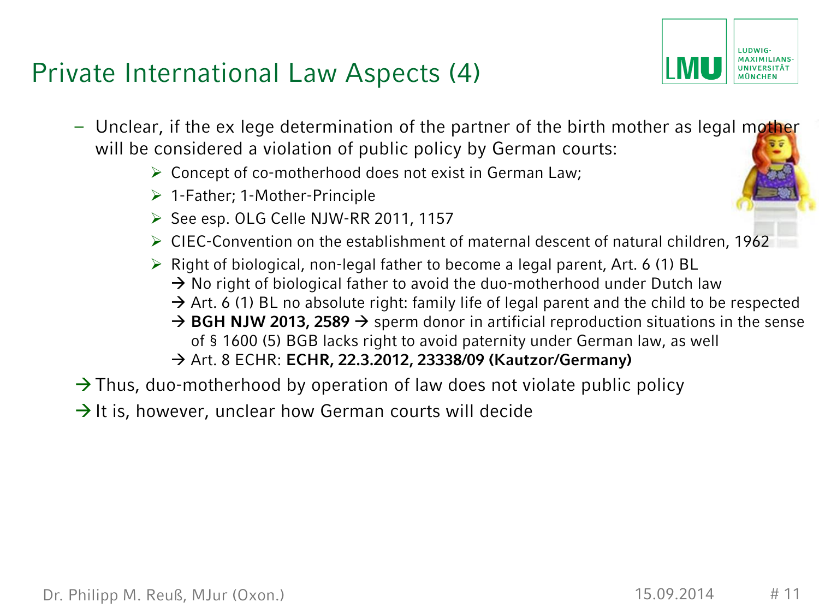#### Private International Law Aspects (4)

- Unclear, if the ex lege determination of the partner of the birth mother as legal mother will be considered a violation of public policy by German courts:
	- $\triangleright$  Concept of co-motherhood does not exist in German Law;
	- 1-Father; 1-Mother-Principle
	- ▶ See esp. OLG Celle NJW-RR 2011, 1157
	- $\triangleright$  CIEC-Convention on the establishment of maternal descent of natural children, 1962
	- $\triangleright$  Right of biological, non-legal father to become a legal parent, Art. 6 (1) BL
		- $\rightarrow$  No right of biological father to avoid the duo-motherhood under Dutch law
		- $\rightarrow$  Art. 6 (1) BL no absolute right: family life of legal parent and the child to be respected
		- $\rightarrow$  BGH NJW 2013, 2589  $\rightarrow$  sperm donor in artificial reproduction situations in the sense of § 1600 (5) BGB lacks right to avoid paternity under German law, as well
		- Art. 8 ECHR: **ECHR, 22.3.2012, 23338/09 (Kautzor/Germany)**
- $\rightarrow$  Thus, duo-motherhood by operation of law does not violate public policy
- $\rightarrow$  It is, however, unclear how German courts will decide

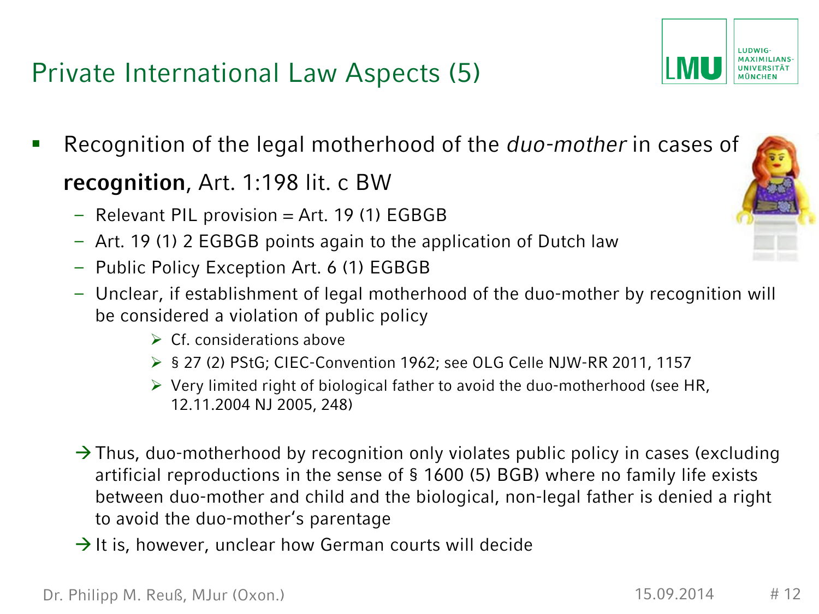#### Private International Law Aspects (5)

- Recognition of the legal motherhood of the *duo-mother* in cases of **recognition**, Art. 1:198 lit. c BW
	- $-$  Relevant PIL provision  $=$  Art. 19 (1) EGBGB
	- Art. 19 (1) 2 EGBGB points again to the application of Dutch law
	- Public Policy Exception Art. 6 (1) EGBGB
	- Unclear, if establishment of legal motherhood of the duo-mother by recognition will be considered a violation of public policy
		- $\triangleright$  Cf. considerations above
		- § 27 (2) PStG; CIEC-Convention 1962; see OLG Celle NJW-RR 2011, 1157
		- $\triangleright$  Very limited right of biological father to avoid the duo-motherhood (see HR, 12.11.2004 NJ 2005, 248)
	- $\rightarrow$  Thus, duo-motherhood by recognition only violates public policy in cases (excluding artificial reproductions in the sense of § 1600 (5) BGB) where no family life exists between duo-mother and child and the biological, non-legal father is denied a right to avoid the duo-mother's parentage
	- $\rightarrow$  It is, however, unclear how German courts will decide



LUDWIG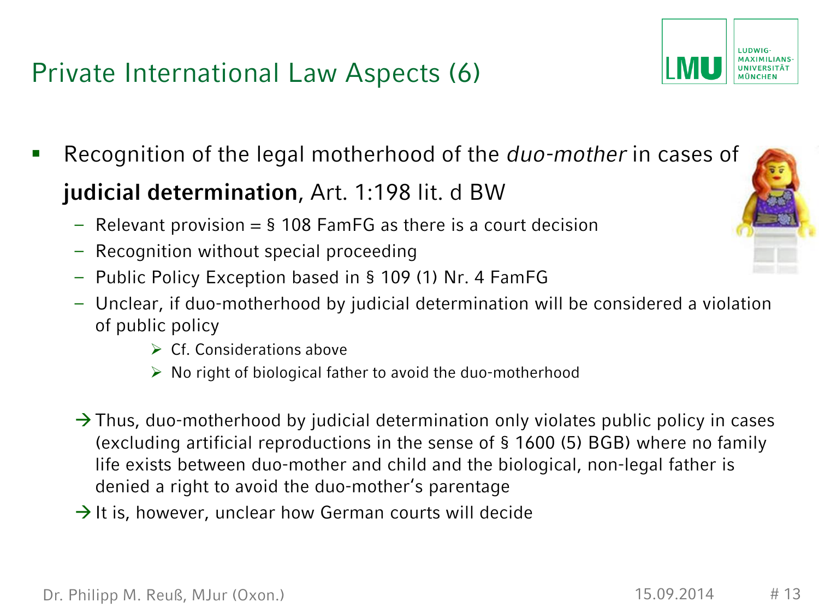#### Private International Law Aspects (6)

- Recognition of the legal motherhood of the *duo-mother* in cases of **judicial determination**, Art. 1:198 lit. d BW
	- $-$  Relevant provision  $=$  § 108 FamFG as there is a court decision
	- Recognition without special proceeding
	- Public Policy Exception based in § 109 (1) Nr. 4 FamFG
	- Unclear, if duo-motherhood by judicial determination will be considered a violation of public policy
		- $\triangleright$  Cf. Considerations above
		- $\triangleright$  No right of biological father to avoid the duo-motherhood
	- $\rightarrow$  Thus, duo-motherhood by judicial determination only violates public policy in cases (excluding artificial reproductions in the sense of § 1600 (5) BGB) where no family life exists between duo-mother and child and the biological, non-legal father is denied a right to avoid the duo-mother's parentage
	- $\rightarrow$  It is, however, unclear how German courts will decide



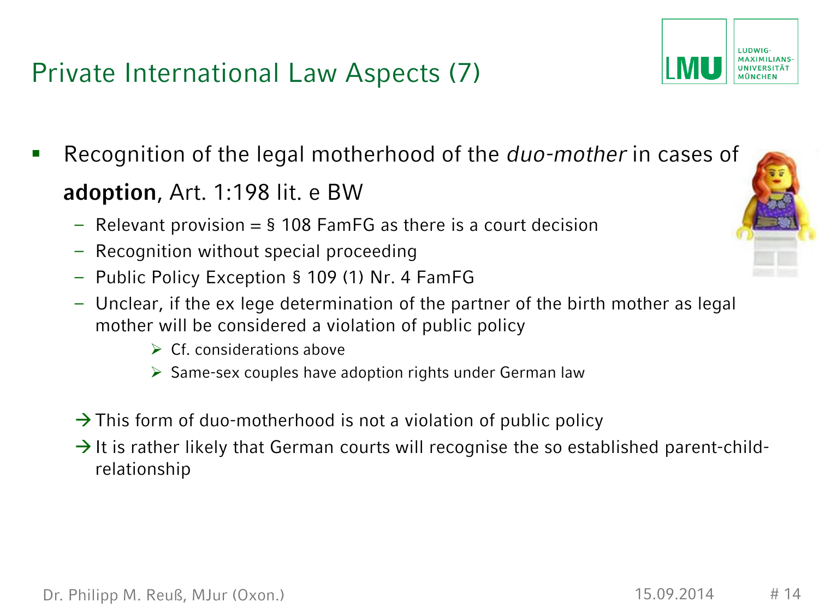Private International Law Aspects (7)

- Recognition of the legal motherhood of the *duo-mother* in cases of **adoption**, Art. 1:198 lit. e BW
	- $-$  Relevant provision  $=$  § 108 FamFG as there is a court decision
	- Recognition without special proceeding
	- Public Policy Exception § 109 (1) Nr. 4 FamFG
	- Unclear, if the ex lege determination of the partner of the birth mother as legal mother will be considered a violation of public policy
		- $\triangleright$  Cf. considerations above
		- $\triangleright$  Same-sex couples have adoption rights under German law
	- $\rightarrow$  This form of duo-motherhood is not a violation of public policy
	- $\rightarrow$  It is rather likely that German courts will recognise the so established parent-childrelationship